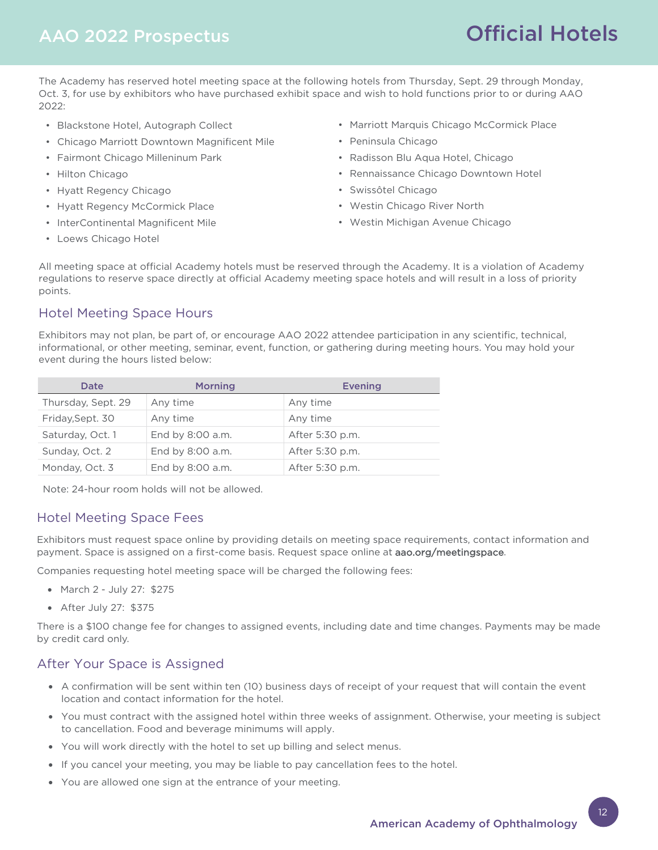## AAO 2022 Prospectus

# Official Hotels

The Academy has reserved hotel meeting space at the following hotels from Thursday, Sept. 29 through Monday, Oct. 3, for use by exhibitors who have purchased exhibit space and wish to hold functions prior to or during AAO 2022:

- Blackstone Hotel, Autograph Collect
- Chicago Marriott Downtown Magnificent Mile
- Fairmont Chicago Milleninum Park
- Hilton Chicago
- Hyatt Regency Chicago
- Hyatt Regency McCormick Place
- InterContinental Magnificent Mile
- Loews Chicago Hotel
- Marriott Marquis Chicago McCormick Place
- Peninsula Chicago
- Radisson Blu Aqua Hotel, Chicago
- Rennaissance Chicago Downtown Hotel
- Swissôtel Chicago
- Westin Chicago River North
- Westin Michigan Avenue Chicago

All meeting space at official Academy hotels must be reserved through the Academy. It is a violation of Academy regulations to reserve space directly at official Academy meeting space hotels and will result in a loss of priority points.

### Hotel Meeting Space Hours

Exhibitors may not plan, be part of, or encourage AAO 2022 attendee participation in any scientific, technical, informational, or other meeting, seminar, event, function, or gathering during meeting hours. You may hold your event during the hours listed below:

| Date               | <b>Morning</b>   | <b>Evening</b>  |
|--------------------|------------------|-----------------|
| Thursday, Sept. 29 | Any time         | Any time        |
| Friday, Sept. 30   | Any time         | Any time        |
| Saturday, Oct. 1   | End by 8:00 a.m. | After 5:30 p.m. |
| Sunday, Oct. 2     | End by 8:00 a.m. | After 5:30 p.m. |
| Monday, Oct. 3     | End by 8:00 a.m. | After 5:30 p.m. |

Note: 24-hour room holds will not be allowed.

### Hotel Meeting Space Fees

Exhibitors must request space online by providing details on meeting space requirements, contact information and payment. Space is assigned on a first-come basis. Request space online at aao.org/meetingspace.

Companies requesting hotel meeting space will be charged the following fees:

- March 2 July 27: \$275
- After July 27: \$375

There is a \$100 change fee for changes to assigned events, including date and time changes. Payments may be made by credit card only.

### After Your Space is Assigned

- A confirmation will be sent within ten (10) business days of receipt of your request that will contain the event location and contact information for the hotel.
- You must contract with the assigned hotel within three weeks of assignment. Otherwise, your meeting is subject to cancellation. Food and beverage minimums will apply.
- You will work directly with the hotel to set up billing and select menus.
- If you cancel your meeting, you may be liable to pay cancellation fees to the hotel.
- You are allowed one sign at the entrance of your meeting.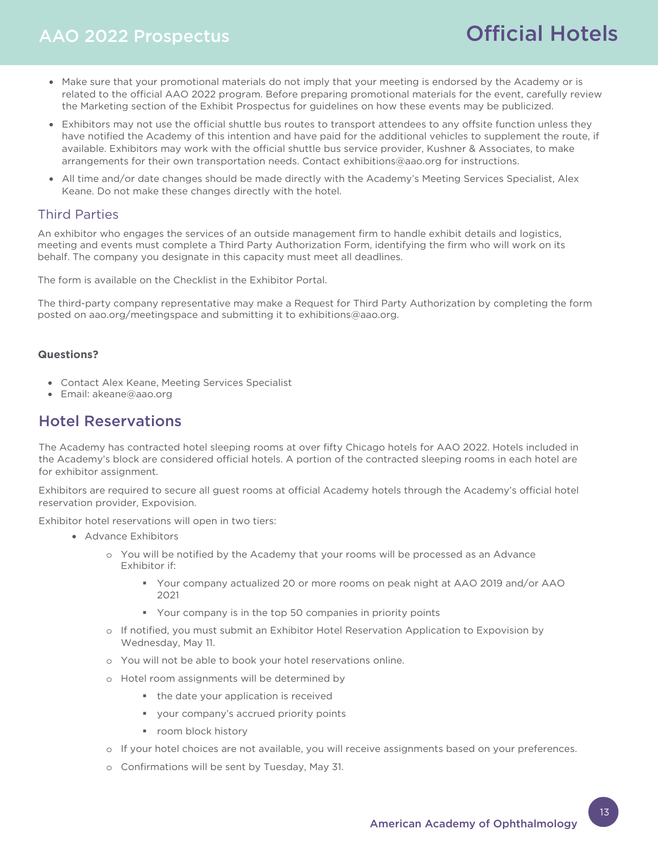### AAO 2022 Prospectus

## Official Hotels

- Make sure that your promotional materials do not imply that your meeting is endorsed by the Academy or is related to the official AAO 2022 program. Before preparing promotional materials for the event, carefully review the Marketing section of the Exhibit Prospectus for guidelines on how these events may be publicized.
- Exhibitors may not use the official shuttle bus routes to transport attendees to any offsite function unless they have notified the Academy of this intention and have paid for the additional vehicles to supplement the route, if available. Exhibitors may work with the official shuttle bus service provider, Kushner & Associates, to make arrangements for their own transportation needs. Contact exhibitions@aao.org for instructions.
- All time and/or date changes should be made directly with the Academy's Meeting Services Specialist, Alex Keane. Do not make these changes directly with the hotel.

### Third Parties

An exhibitor who engages the services of an outside management firm to handle exhibit details and logistics, meeting and events must complete a Third Party Authorization Form, identifying the firm who will work on its behalf. The company you designate in this capacity must meet all deadlines.

The form is available on the Checklist in the Exhibitor Portal.

The third-party company representative may make a Request for Third Party Authorization by completing the form posted on aao.org/meetingspace and submitting it to exhibitions@aao.org.

#### **Questions?**

- Contact Alex Keane, Meeting Services Specialist
- Email: akeane@aao.org

### Hotel Reservations

The Academy has contracted hotel sleeping rooms at over fifty Chicago hotels for AAO 2022. Hotels included in the Academy's block are considered official hotels. A portion of the contracted sleeping rooms in each hotel are for exhibitor assignment.

Exhibitors are required to secure all guest rooms at official Academy hotels through the Academy's official hotel reservation provider, Expovision.

Exhibitor hotel reservations will open in two tiers:

- Advance Exhibitors
	- o You will be notified by the Academy that your rooms will be processed as an Advance Exhibitor if:
		- Your company actualized 20 or more rooms on peak night at AAO 2019 and/or AAO 2021
		- Your company is in the top 50 companies in priority points
	- o If notified, you must submit an Exhibitor Hotel Reservation Application to Expovision by Wednesday, May 11.
	- o You will not be able to book your hotel reservations online.
	- o Hotel room assignments will be determined by
		- the date your application is received
		- vour company's accrued priority points
		- **room block history**
	- o If your hotel choices are not available, you will receive assignments based on your preferences.
	- o Confirmations will be sent by Tuesday, May 31.